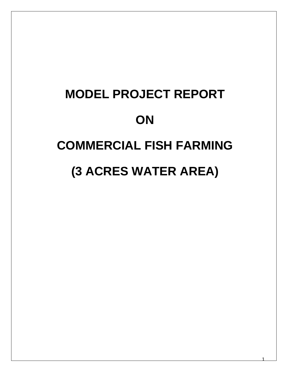## **MODEL PROJECT REPORT ON COMMERCIAL FISH FARMING (3 ACRES WATER AREA)**

1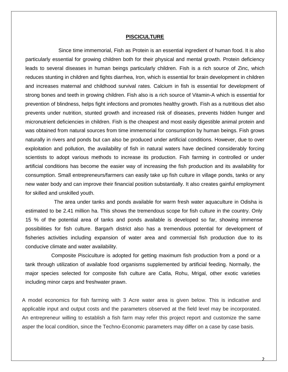## **PISCICULTURE**

 Since time immemorial, Fish as Protein is an essential ingredient of human food. It is also particularly essential for growing children both for their physical and mental growth. Protein deficiency leads to several diseases in human beings particularly children. Fish is a rich source of Zinc, which reduces stunting in children and fights diarrhea, Iron, which is essential for brain development in children and increases maternal and childhood survival rates. Calcium in fish is essential for development of strong bones and teeth in growing children. Fish also is a rich source of Vitamin-A which is essential for prevention of blindness, helps fight infections and promotes healthy growth. Fish as a nutritious diet also prevents under nutrition, stunted growth and increased risk of diseases, prevents hidden hunger and micronutrient deficiencies in children. Fish is the cheapest and most easily digestible animal protein and was obtained from natural sources from time immemorial for consumption by human beings. Fish grows naturally in rivers and ponds but can also be produced under artificial conditions. However, due to over exploitation and pollution, the availability of fish in natural waters have declined considerably forcing scientists to adopt various methods to increase its production. Fish farming in controlled or under artificial conditions has become the easier way of increasing the fish production and its availability for consumption. Small entrepreneurs/farmers can easily take up fish culture in village ponds, tanks or any new water body and can improve their financial position substantially. It also creates gainful employment for skilled and unskilled youth.

 The area under tanks and ponds available for warm fresh water aquaculture in Odisha is estimated to be 2.41 million ha. This shows the tremendous scope for fish culture in the country. Only 15 % of the potential area of tanks and ponds available is developed so far, showing immense possibilities for fish culture. Bargarh district also has a tremendous potential for development of fisheries activities including expansion of water area and commercial fish production due to its conducive climate and water availability.

 Composite Pisciculture is adopted for getting maximum fish production from a pond or a tank through utilization of available food organisms supplemented by artificial feeding. Normally, the major species selected for composite fish culture are Catla, Rohu, Mrigal, other exotic varieties including minor carps and freshwater prawn.

A model economics for fish farming with 3 Acre water area is given below. This is indicative and applicable input and output costs and the parameters observed at the field level may be incorporated. An entrepreneur willing to establish a fish farm may refer this project report and customize the same asper the local condition, since the Techno-Economic parameters may differ on a case by case basis.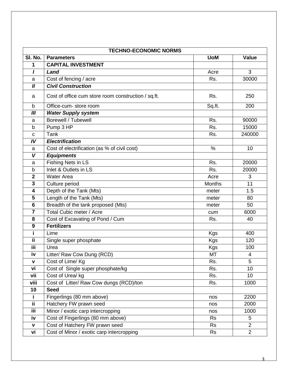| <b>TECHNO-ECONOMIC NORMS</b> |                                                     |               |                |  |  |  |  |
|------------------------------|-----------------------------------------------------|---------------|----------------|--|--|--|--|
| SI. No.                      | <b>Parameters</b>                                   | <b>UoM</b>    | <b>Value</b>   |  |  |  |  |
| 1                            | <b>CAPITAL INVESTMENT</b>                           |               |                |  |  |  |  |
| $\mathbf{I}$                 | Land                                                | Acre          | 3              |  |  |  |  |
| a                            | Cost of fencing / acre                              | Rs.           | 30000          |  |  |  |  |
| $\boldsymbol{I}$             | <b>Civil Construction</b>                           |               |                |  |  |  |  |
| a                            | Cost of office cum store room construction / sq.ft. | Rs.           | 250            |  |  |  |  |
| b                            | Office-cum-store room                               | Sq.ft.        | 200            |  |  |  |  |
| III                          | <b>Water Supply system</b>                          |               |                |  |  |  |  |
| a                            | <b>Borewell / Tubewell</b>                          | Rs.           | 90000          |  |  |  |  |
| b                            | Pump 3 HP                                           | Rs.           | 15000          |  |  |  |  |
| C                            | Tank                                                | Rs.           | 240000         |  |  |  |  |
| IV                           | <b>Electrification</b>                              |               |                |  |  |  |  |
| a                            | Cost of electrification (as % of civil cost)        | %             | 10             |  |  |  |  |
| V                            | <b>Equipments</b>                                   |               |                |  |  |  |  |
| a                            | Fishing Nets in LS                                  | Rs.           | 20000          |  |  |  |  |
| b                            | Inlet & Outlets in LS                               | Rs.           | 20000          |  |  |  |  |
| $\mathbf 2$                  | <b>Water Area</b>                                   | Acre          | 3              |  |  |  |  |
| 3                            | Culture period                                      | <b>Months</b> | 11             |  |  |  |  |
| 4                            | Depth of the Tank (Mts)                             | meter         | 1.5            |  |  |  |  |
| $\overline{\mathbf{5}}$      | Length of the Tank (Mts)                            | meter         | 80             |  |  |  |  |
| $6\phantom{1}6$              | Breadth of the tank proposed (Mts)                  | meter         | 50             |  |  |  |  |
| $\overline{7}$               | <b>Total Cubic meter / Acre</b>                     | cum           | 6000           |  |  |  |  |
| 8                            | Cost of Excavating of Pond / Cum                    | Rs.           | 40             |  |  |  |  |
| $\boldsymbol{9}$             | <b>Fertilizers</b>                                  |               |                |  |  |  |  |
| j.                           | Lime                                                | <b>Kgs</b>    | 400            |  |  |  |  |
| ΪÏ                           | Single super phosphate                              | <b>Kgs</b>    | 120            |  |  |  |  |
| iii                          | Urea                                                | Kgs           | 100            |  |  |  |  |
| iv                           | Litter/ Raw Cow Dung (RCD)                          | <b>MT</b>     | $\overline{4}$ |  |  |  |  |
| v                            | Cost of Lime/ Kg                                    | Rs.           | 5              |  |  |  |  |
| vi                           | Cost of Single super phosphate/kg                   | Rs.           | 10             |  |  |  |  |
| vii                          | Cost of Urea/ kg                                    | Rs.           | 10             |  |  |  |  |
| viii                         | Cost of Litter/ Raw Cow dungs (RCD)/ton             | Rs.           | 1000           |  |  |  |  |
| 10                           | <b>Seed</b>                                         |               |                |  |  |  |  |
| i.                           | Fingerlings (80 mm above)                           | nos           | 2200           |  |  |  |  |
| Ϊİ                           | Hatchery FW prawn seed                              | nos           | 2000           |  |  |  |  |
| Ϊii                          | Minor / exotic carp intercropping                   | nos           | 1000           |  |  |  |  |
| iv                           | Cost of Fingerlings (80 mm above)                   | <b>Rs</b>     | 5              |  |  |  |  |
| $\mathbf v$                  | Cost of Hatchery FW prawn seed                      | <b>Rs</b>     | $\overline{2}$ |  |  |  |  |
| vi                           | Cost of Minor / exotic carp intercropping           | <b>Rs</b>     | $\overline{2}$ |  |  |  |  |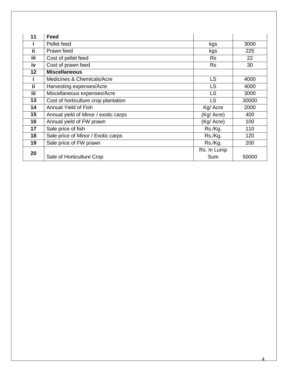| 11  | <b>Feed</b>                          |             |       |
|-----|--------------------------------------|-------------|-------|
|     | Pellet feed                          | kgs         | 3000  |
| ii  | Prawn feed                           | kgs         | 225   |
| iii | Cost of pellet feed                  | <b>Rs</b>   | 22    |
| iv  | Cost of prawn feed                   | <b>Rs</b>   | 30    |
| 12  | <b>Miscellaneous</b>                 |             |       |
|     | Medicines & Chemicals/Acre           | LS          | 4000  |
| ii  | Harvesting expenses/Acre             | LS          | 4000  |
| iii | Miscellaneous expenses/Acre          | LS          | 3000  |
| 13  | Cost of horticulture crop plantation | LS          | 30000 |
| 14  | Annual Yield of Fish                 | Kg/ Acre    | 2000  |
| 15  | Annual yield of Minor / exotic carps | (Kg/ Acre)  | 400   |
| 16  | Annual yield of FW prawn             | (Kg/ Acre)  | 100   |
| 17  | Sale price of fish                   | Rs./Kg.     | 110   |
| 18  | Sale price of Minor / Exotic carps   | Rs./Kg.     | 120   |
| 19  | Sale price of FW prawn               | Rs./Kg.     | 200   |
| 20  |                                      | Rs. In Lump |       |
|     | Sale of Horticulture Crop            | Sum         | 50000 |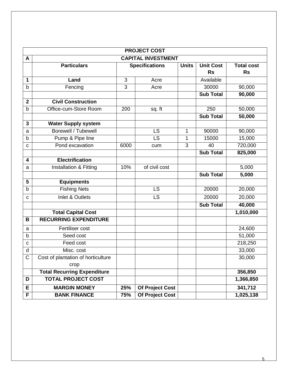| <b>PROJECT COST</b> |                                    |      |                        |              |                  |                   |  |  |
|---------------------|------------------------------------|------|------------------------|--------------|------------------|-------------------|--|--|
| A                   | <b>CAPITAL INVESTMENT</b>          |      |                        |              |                  |                   |  |  |
|                     | <b>Particulars</b>                 |      | <b>Specifications</b>  | <b>Units</b> | <b>Unit Cost</b> | <b>Total cost</b> |  |  |
|                     |                                    |      |                        |              | <b>Rs</b>        | <b>Rs</b>         |  |  |
| 1                   | Land                               | 3    | Acre                   |              | Available        |                   |  |  |
| b                   | Fencing                            | 3    | Acre                   |              | 30000            | 90,000            |  |  |
|                     |                                    |      |                        |              | <b>Sub Total</b> | 90,000            |  |  |
| $\mathbf{2}$        | <b>Civil Construction</b>          |      |                        |              |                  |                   |  |  |
| b                   | Office-cum-Store Room              | 200  | sq. ft                 |              | 250              | 50,000            |  |  |
|                     |                                    |      |                        |              | <b>Sub Total</b> | 50,000            |  |  |
| 3                   | <b>Water Supply system</b>         |      |                        |              |                  |                   |  |  |
| a                   | Borewell / Tubewell                |      | <b>LS</b>              | 1            | 90000            | 90,000            |  |  |
| b                   | Pump & Pipe line                   |      | LS                     | 1            | 15000            | 15,000            |  |  |
| C                   | Pond excavation                    | 6000 | cum                    | 3            | 40               | 720,000           |  |  |
|                     |                                    |      |                        |              | <b>Sub Total</b> | 825,000           |  |  |
| 4                   | <b>Electrification</b>             |      |                        |              |                  |                   |  |  |
| a                   | Installation & Fitting             | 10%  | of civil cost          |              |                  | 5,000             |  |  |
|                     |                                    |      |                        |              | <b>Sub Total</b> | 5,000             |  |  |
| 5                   | <b>Equipments</b>                  |      |                        |              |                  |                   |  |  |
| b                   | <b>Fishing Nets</b>                |      | <b>LS</b>              |              | 20000            | 20,000            |  |  |
| C                   | <b>Inlet &amp; Outlets</b>         |      | LS                     |              | 20000            | 20,000            |  |  |
|                     |                                    |      |                        |              | <b>Sub Total</b> | 40,000            |  |  |
|                     | <b>Total Capital Cost</b>          |      |                        |              |                  | 1,010,000         |  |  |
| B                   | <b>RECURRING EXPENDITURE</b>       |      |                        |              |                  |                   |  |  |
| a                   | Fertiliser cost                    |      |                        |              |                  | 24,600            |  |  |
| b                   | Seed cost                          |      |                        |              |                  | 51,000            |  |  |
| C                   | Feed cost                          |      |                        |              |                  | 218,250           |  |  |
| d                   | Misc. cost                         |      |                        |              |                  | 33,000            |  |  |
| $\mathsf C$         | Cost of plantation of horticulture |      |                        |              |                  | 30,000            |  |  |
|                     | crop                               |      |                        |              |                  |                   |  |  |
|                     | <b>Total Recurring Expenditure</b> |      |                        |              |                  | 356,850           |  |  |
| D                   | <b>TOTAL PROJECT COST</b>          |      |                        |              |                  | 1,366,850         |  |  |
| E                   | <b>MARGIN MONEY</b>                | 25%  | <b>Of Project Cost</b> |              |                  | 341,712           |  |  |
| $\overline{F}$      | <b>BANK FINANCE</b>                | 75%  | <b>Of Project Cost</b> |              |                  | 1,025,138         |  |  |